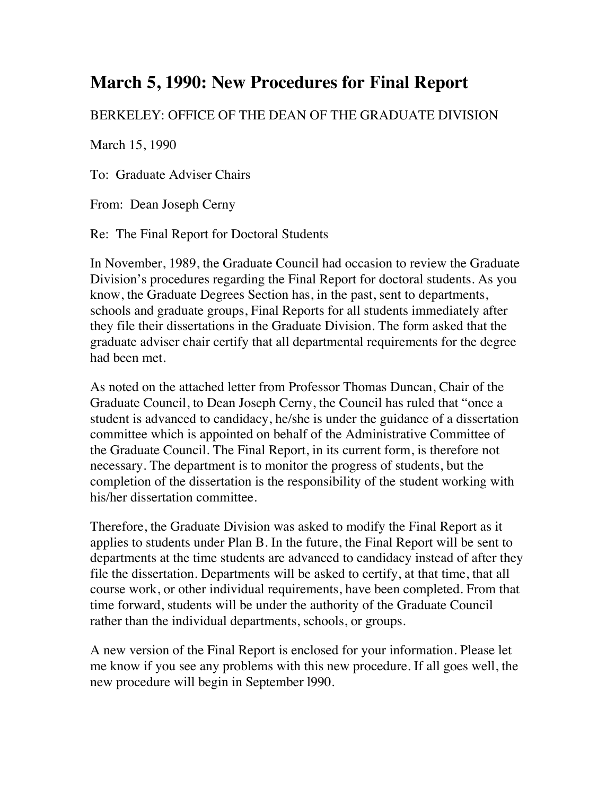## **March 5, 1990: New Procedures for Final Report**

## BERKELEY: OFFICE OF THE DEAN OF THE GRADUATE DIVISION

March 15, 1990

To: Graduate Adviser Chairs

From: Dean Joseph Cerny

Re: The Final Report for Doctoral Students

In November, 1989, the Graduate Council had occasion to review the Graduate Division's procedures regarding the Final Report for doctoral students. As you know, the Graduate Degrees Section has, in the past, sent to departments, schools and graduate groups, Final Reports for all students immediately after they file their dissertations in the Graduate Division. The form asked that the graduate adviser chair certify that all departmental requirements for the degree had been met.

As noted on the attached letter from Professor Thomas Duncan, Chair of the Graduate Council, to Dean Joseph Cerny, the Council has ruled that "once a student is advanced to candidacy, he/she is under the guidance of a dissertation committee which is appointed on behalf of the Administrative Committee of the Graduate Council. The Final Report, in its current form, is therefore not necessary. The department is to monitor the progress of students, but the completion of the dissertation is the responsibility of the student working with his/her dissertation committee.

Therefore, the Graduate Division was asked to modify the Final Report as it applies to students under Plan B. In the future, the Final Report will be sent to departments at the time students are advanced to candidacy instead of after they file the dissertation. Departments will be asked to certify, at that time, that all course work, or other individual requirements, have been completed. From that time forward, students will be under the authority of the Graduate Council rather than the individual departments, schools, or groups.

A new version of the Final Report is enclosed for your information. Please let me know if you see any problems with this new procedure. If all goes well, the new procedure will begin in September l990.